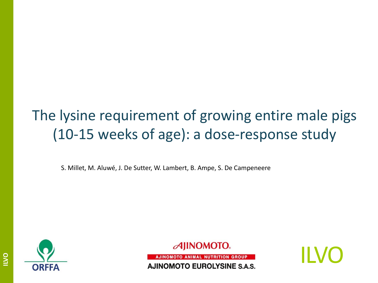## The lysine requirement of growing entire male pigs (10-15 weeks of age): a dose-response study

S. Millet, M. Aluwé, J. De Sutter, W. Lambert, B. Ampe, S. De Campeneere



 $\mathcal A$ IINOMOTO.

AJINOMOTO ANIMAL NUTRITION GROUP **AJINOMOTO EUROLYSINE S.A.S.** 

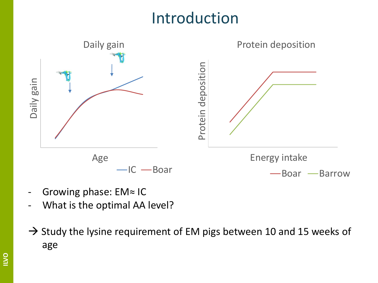# Introduction



- Growing phase: EM≈ IC
- What is the optimal AA level?
- $\rightarrow$  Study the lysine requirement of EM pigs between 10 and 15 weeks of age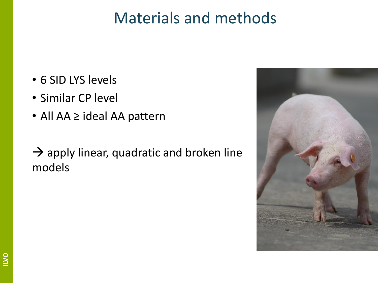- 6 SID LYS levels
- Similar CP level
- All AA ≥ ideal AA pattern
- $\rightarrow$  apply linear, quadratic and broken line models

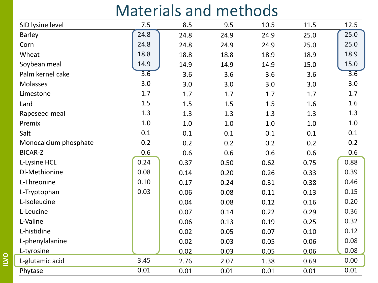| SID lysine level      | 7.5              | 8.5     | 9.5   | 10.5 | 11.5 | 12.5             |
|-----------------------|------------------|---------|-------|------|------|------------------|
| Barley                | 24.8             | 24.8    | 24.9  | 24.9 | 25.0 | 25.0             |
| Corn                  | 24.8             | 24.8    | 24.9  | 24.9 | 25.0 | 25.0             |
| Wheat                 | 18.8             | 18.8    | 18.8  | 18.9 | 18.9 | 18.9             |
| Soybean meal          | 14.9             | 14.9    | 14.9  | 14.9 | 15.0 | 15.0             |
| Palm kernel cake      | $\overline{3.6}$ | 3.6     | 3.6   | 3.6  | 3.6  | $\overline{3.6}$ |
| Molasses              | 3.0              | 3.0     | 3.0   | 3.0  | 3.0  | 3.0              |
| Limestone             | 1.7              | 1.7     | 1.7   | 1.7  | 1.7  | 1.7              |
| Lard                  | 1.5              | $1.5\,$ | 1.5   | 1.5  | 1.6  | 1.6              |
| Rapeseed meal         | 1.3              | 1.3     | 1.3   | 1.3  | 1.3  | 1.3              |
| Premix                | 1.0              | $1.0$   | $1.0$ | 1.0  | 1.0  | 1.0              |
| Salt                  | 0.1              | 0.1     | 0.1   | 0.1  | 0.1  | 0.1              |
| Monocalcium phosphate | 0.2              | 0.2     | 0.2   | 0.2  | 0.2  | 0.2              |
| <b>BICAR-Z</b>        | 0.6              | 0.6     | 0.6   | 0.6  | 0.6  | 0.6              |
| L-Lysine HCL          | 0.24             | 0.37    | 0.50  | 0.62 | 0.75 | 0.88             |
| DI-Methionine         | 0.08             | 0.14    | 0.20  | 0.26 | 0.33 | 0.39             |
| L-Threonine           | 0.10             | 0.17    | 0.24  | 0.31 | 0.38 | 0.46             |
| L-Tryptophan          | 0.03             | 0.06    | 0.08  | 0.11 | 0.13 | 0.15             |
| L-Isoleucine          |                  | 0.04    | 0.08  | 0.12 | 0.16 | 0.20             |
| L-Leucine             |                  | 0.07    | 0.14  | 0.22 | 0.29 | 0.36             |
| L-Valine              |                  | 0.06    | 0.13  | 0.19 | 0.25 | 0.32             |
| L-histidine           |                  | 0.02    | 0.05  | 0.07 | 0.10 | 0.12             |
| L-phenylalanine       |                  | 0.02    | 0.03  | 0.05 | 0.06 | 0.08             |
| L-tyrosine            |                  | 0.02    | 0.03  | 0.05 | 0.06 | 0.08             |
| L-glutamic acid       | 3.45             | 2.76    | 2.07  | 1.38 | 0.69 | 0.00             |
| Phytase               | 0.01             | 0.01    | 0.01  | 0.01 | 0.01 | 0.01             |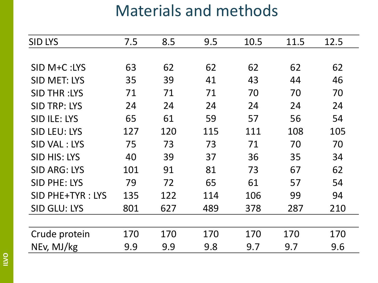| <b>SID LYS</b>      | 7.5 | 8.5 | 9.5 | 10.5 | 11.5 | 12.5 |
|---------------------|-----|-----|-----|------|------|------|
|                     |     |     |     |      |      |      |
| SID M+C:LYS         | 63  | 62  | 62  | 62   | 62   | 62   |
| <b>SID MET: LYS</b> | 35  | 39  | 41  | 43   | 44   | 46   |
| <b>SID THR:LYS</b>  | 71  | 71  | 71  | 70   | 70   | 70   |
| <b>SID TRP: LYS</b> | 24  | 24  | 24  | 24   | 24   | 24   |
| <b>SID ILE: LYS</b> | 65  | 61  | 59  | 57   | 56   | 54   |
| <b>SID LEU: LYS</b> | 127 | 120 | 115 | 111  | 108  | 105  |
| SID VAL: LYS        | 75  | 73  | 73  | 71   | 70   | 70   |
| <b>SID HIS: LYS</b> | 40  | 39  | 37  | 36   | 35   | 34   |
| <b>SID ARG: LYS</b> | 101 | 91  | 81  | 73   | 67   | 62   |
| <b>SID PHE: LYS</b> | 79  | 72  | 65  | 61   | 57   | 54   |
| SID PHE+TYR: LYS    | 135 | 122 | 114 | 106  | 99   | 94   |
| <b>SID GLU: LYS</b> | 801 | 627 | 489 | 378  | 287  | 210  |
|                     |     |     |     |      |      |      |
| Crude protein       | 170 | 170 | 170 | 170  | 170  | 170  |
| NEv, MJ/kg          | 9.9 | 9.9 | 9.8 | 9.7  | 9.7  | 9.6  |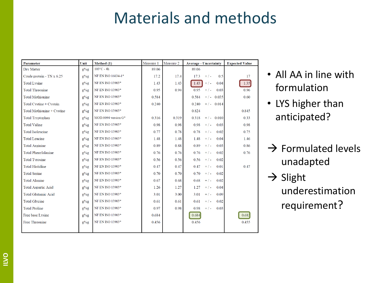| Parameter                  | Unit          | Method (1)               | Measure 1 | Measure 2 | <b>Average - Uncertainty</b> | <b>Expected Value</b> |
|----------------------------|---------------|--------------------------|-----------|-----------|------------------------------|-----------------------|
| Dry Matter                 | $g^{0}/_{0}g$ | $103^{\circ}$ C - 4h     | 89.06     |           | 89.06                        |                       |
| Crude protein - TN x 6.25  | $g\%g$        | NF EN ISO 16634-1*       | 17.2      | 17.4      | 0.5<br>17.3<br>$+/-$         | 17                    |
| <b>Total Lysine</b>        | $g\%g$        | NF EN ISO 13903*         | 1.43      | 1.43      | 1.43<br>0.04<br>$+/-$        | 1.35                  |
| <b>Total Threonine</b>     | $g^{0}/_{0}g$ | NF EN ISO 13903*         | 0.95      | 0.94      | 0.95<br>0.03<br>$+/-$        | 0.96                  |
| <b>Total Methionine</b>    | $g\%g$        | NF EN ISO 13903*         | 0.584     |           | 0.584<br>$+/-$ 0.035         | 0.60                  |
| Total Cystine + Cystein    | $g\%g$        | NF EN ISO 13903*         | 0.240     |           | 0.240<br>$+/-$ 0.014         |                       |
| Total Methionine + Cystine | $g^{0}/_{0}g$ | NF EN ISO 13903*         |           |           | 0.824                        | 0.845                 |
| <b>Total Tryptophan</b>    | $g^{0}/_{0}g$ | $MOD.0094$ version $G^*$ | 0.316     | 0.319     | 0.318<br>$+/-$ 0.010         | 0.33                  |
| <b>Total Valine</b>        | $g^{0}/_{0}g$ | <b>NF EN ISO 13903*</b>  | 0.98      | 0.98      | 0.98<br>0.03<br>$+/-$        | 0.98                  |
| <b>Total Isoleucine</b>    | $g\%g$        | NF EN ISO 13903*         | 0.77      | 0.78      | 0.78<br>$+/-$<br>0.02        | 0.75                  |
| <b>Total Leucine</b>       | $g^{0}/_{0}g$ | NF EN ISO 13903*         | 1.48      | 1.48      | 1.48<br>$+/-$<br>0.04        | 1.46                  |
| <b>Total Arginine</b>      | $g\%g$        | NF EN ISO 13903*         | 0.89      | 0.88      | 0.89<br>$+/-$<br>0.03        | 0.86                  |
| <b>Total Phenylalanine</b> | $g^{0}/_{0}g$ | NF EN ISO 13903*         | 0.76      | 0.76      | 0.76<br>$+/-$<br>0.02        | 0.76                  |
| <b>Total Tyrosine</b>      | $g^{0}/_{0}g$ | NF EN ISO 13903*         | 0.56      | 0.56      | 0.56<br>$+$ / -<br>0.02      |                       |
| <b>Total Histidine</b>     | $g\%g$        | NF EN ISO 13903*         | 0.47      | 0.47      | 0.47<br>$+/-$<br>0.01        | 0.47                  |
| <b>Total Serine</b>        | $g^{0}/_{0}g$ | NF EN ISO 13903*         | 0.70      | 0.70      | 0.70<br>0.02<br>$+/-$        |                       |
| <b>Total Alanine</b>       | $g\%g$        | NF EN ISO 13903*         | 0.67      | 0.68      | 0.68<br>0.02<br>$+/-$        |                       |
| <b>Total Aspartic Acid</b> | $g^{0}/_{0}g$ | NF EN ISO 13903*         | 1.26      | 1.27      | 1.27<br>0.04<br>$+/-$        |                       |
| <b>Total Glutamic Acid</b> | $g^{0}/_{0}g$ | NF EN ISO 13903*         | 3.01      | 3.00      | 3.01<br>0.09<br>$+/-$        |                       |
| <b>Total Glycine</b>       | $g^{0}/_{0}g$ | NF EN ISO 13903*         | 0.61      | 0.61      | 0.61<br>0.02<br>$+/-$        |                       |
| <b>Total Proline</b>       | $g^{0}/_{0}g$ | NF EN ISO 13903*         | 0.97      | 0.98      | 0.98<br>$+/-$<br>0.03        |                       |
| Free base Lysine           | $g\%g$        | NF EN ISO 13903*         | 0.684     |           | 0.684                        | 0.68                  |
| <b>Free Threonine</b>      | $g^{0}/_{0}g$ | NF EN ISO 13903*         | 0.456     |           | 0.456                        | 0.455                 |
|                            |               |                          |           |           |                              |                       |

- All AA in line with formulation
- LYS higher than anticipated?
- $\rightarrow$  Formulated levels unadapted
- $\rightarrow$  Slight underestimation requirement?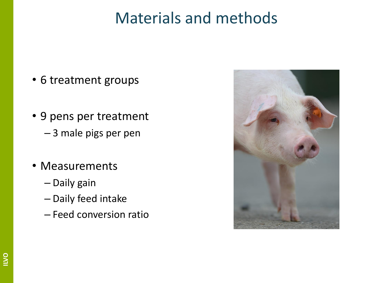- 6 treatment groups
- 9 pens per treatment – 3 male pigs per pen
- Measurements
	- Daily gain
	- Daily feed intake
	- Feed conversion ratio

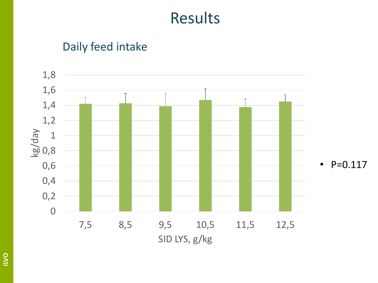#### Daily feed intake

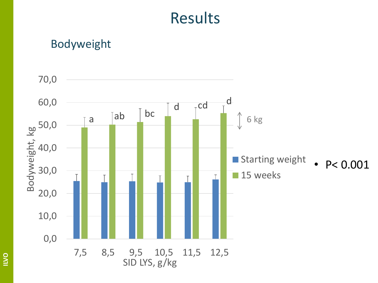#### Bodyweight

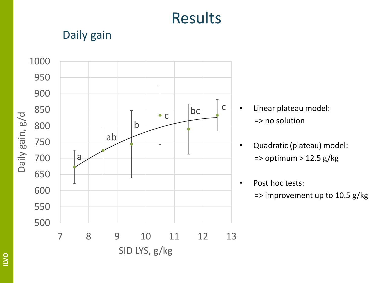### Daily gain



- Linear plateau model: => no solution
- Quadratic (plateau) model:  $\Rightarrow$  optimum > 12.5 g/kg
- Post hoc tests:

 $\Rightarrow$  improvement up to 10.5 g/kg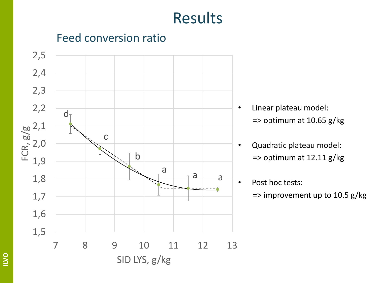### Feed conversion ratio



- Linear plateau model:  $\Rightarrow$  optimum at 10.65 g/kg
- Quadratic plateau model: => optimum at 12.11 g/kg
- Post hoc tests:
	- $\Rightarrow$  improvement up to 10.5 g/kg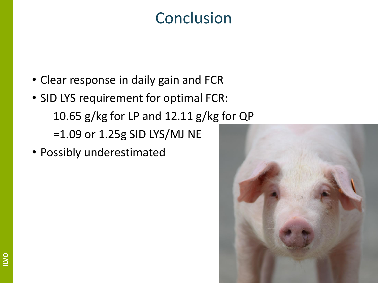## Conclusion

- Clear response in daily gain and FCR
- SID LYS requirement for optimal FCR: 10.65 g/kg for LP and 12.11 g/kg for QP =1.09 or 1.25g SID LYS/MJ NE
- Possibly underestimated